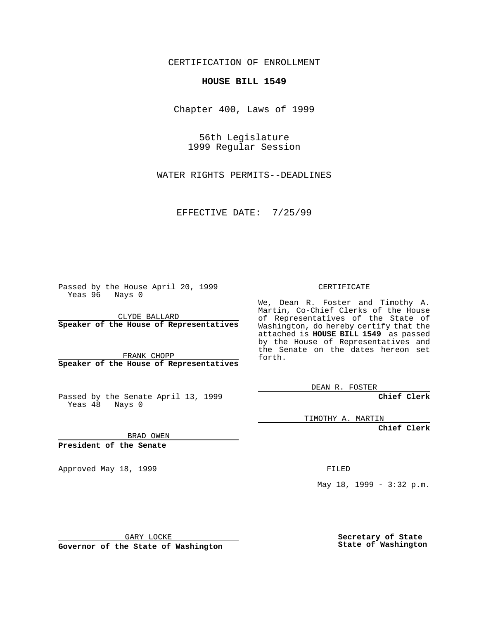CERTIFICATION OF ENROLLMENT

## **HOUSE BILL 1549**

Chapter 400, Laws of 1999

56th Legislature 1999 Regular Session

WATER RIGHTS PERMITS--DEADLINES

EFFECTIVE DATE: 7/25/99

Passed by the House April 20, 1999 Yeas 96 Nays 0

CLYDE BALLARD **Speaker of the House of Representatives**

FRANK CHOPP **Speaker of the House of Representatives**

Passed by the Senate April 13, 1999 Yeas 48 Nays 0

CERTIFICATE

We, Dean R. Foster and Timothy A. Martin, Co-Chief Clerks of the House of Representatives of the State of Washington, do hereby certify that the attached is **HOUSE BILL 1549** as passed by the House of Representatives and the Senate on the dates hereon set forth.

DEAN R. FOSTER

**Chief Clerk**

TIMOTHY A. MARTIN

**Chief Clerk**

BRAD OWEN

**President of the Senate**

Approved May 18, 1999 **FILED** 

May 18, 1999 - 3:32 p.m.

GARY LOCKE

**Governor of the State of Washington**

**Secretary of State State of Washington**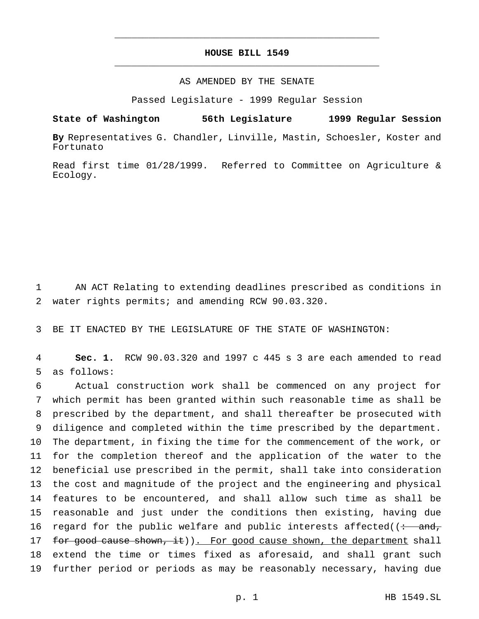## **HOUSE BILL 1549** \_\_\_\_\_\_\_\_\_\_\_\_\_\_\_\_\_\_\_\_\_\_\_\_\_\_\_\_\_\_\_\_\_\_\_\_\_\_\_\_\_\_\_\_\_\_\_

\_\_\_\_\_\_\_\_\_\_\_\_\_\_\_\_\_\_\_\_\_\_\_\_\_\_\_\_\_\_\_\_\_\_\_\_\_\_\_\_\_\_\_\_\_\_\_

## AS AMENDED BY THE SENATE

Passed Legislature - 1999 Regular Session

**State of Washington 56th Legislature 1999 Regular Session**

**By** Representatives G. Chandler, Linville, Mastin, Schoesler, Koster and Fortunato

Read first time 01/28/1999. Referred to Committee on Agriculture & Ecology.

1 AN ACT Relating to extending deadlines prescribed as conditions in 2 water rights permits; and amending RCW 90.03.320.

3 BE IT ENACTED BY THE LEGISLATURE OF THE STATE OF WASHINGTON:

4 **Sec. 1.** RCW 90.03.320 and 1997 c 445 s 3 are each amended to read 5 as follows:

 Actual construction work shall be commenced on any project for which permit has been granted within such reasonable time as shall be prescribed by the department, and shall thereafter be prosecuted with diligence and completed within the time prescribed by the department. The department, in fixing the time for the commencement of the work, or for the completion thereof and the application of the water to the beneficial use prescribed in the permit, shall take into consideration the cost and magnitude of the project and the engineering and physical features to be encountered, and shall allow such time as shall be reasonable and just under the conditions then existing, having due 16 regard for the public welfare and public interests affected( $\frac{1}{12}$ 17 for good cause shown, it)). For good cause shown, the department shall extend the time or times fixed as aforesaid, and shall grant such further period or periods as may be reasonably necessary, having due